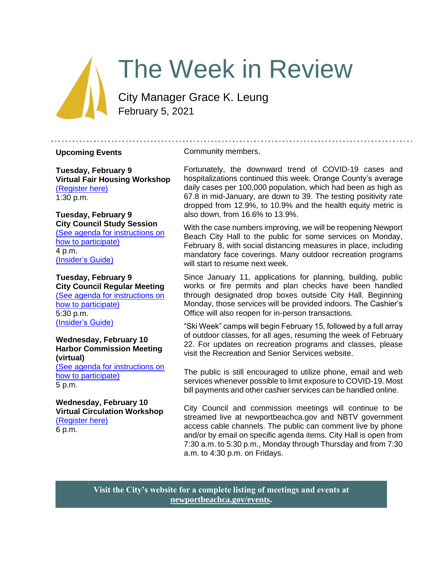# The Week in Review

City Manager Grace K. Leung February 5, 2021

#### **Upcoming Events**

Community members,

**Tuesday, February 9 Virtual Fair Housing Workshop** [\(Register here\)](https://us02web.zoom.us/webinar/register/WN_714zsiVSSyC0fjtdFczUcQ) 1:30 p.m.

#### **Tuesday, February 9 City Council Study Session**  [\(See agenda for instructions on](https://newportbeachca.gov/Home/Components/Calendar/Event/64232/72)

[how to participate\)](https://newportbeachca.gov/Home/Components/Calendar/Event/64232/72) 4 p.m. [\(Insider's Guide\)](#page-3-0)

#### **Tuesday, February 9 City Council Regular Meeting**

[\(See agenda for instructions on](https://newportbeachca.gov/Home/Components/Calendar/Event/64232/72)  [how to participate\)](https://newportbeachca.gov/Home/Components/Calendar/Event/64232/72) 5:30 p.m. [\(Insider's Guide\)](#page-3-0)

#### **Wednesday, February 10 Harbor Commission Meeting (virtual)**

[\(See agenda for instructions on](https://newportbeachca.gov/Home/Components/Calendar/Event/65049/72)  [how to participate\)](https://newportbeachca.gov/Home/Components/Calendar/Event/65049/72) 5 p.m.

#### **Wednesday, February 10 Virtual Circulation Workshop** [\(Register here\)](https://zoom.us/meeting/register/tJckfu2tqDguHde7wek4KAEu-Xu3-QDlON1a) 6 p.m.

Fortunately, the downward trend of COVID-19 cases and hospitalizations continued this week. Orange County's average daily cases per 100,000 population, which had been as high as 67.8 in mid-January, are down to 39. The testing positivity rate dropped from 12.9%, to 10.9% and the health equity metric is also down, from 16.6% to 13.9%.

With the case numbers improving, we will be reopening Newport Beach City Hall to the public for some services on Monday, February 8, with social distancing measures in place, including mandatory face coverings. Many outdoor recreation programs will start to resume next week.

Since January 11, applications for planning, building, public works or fire permits and plan checks have been handled through designated drop boxes outside City Hall. Beginning Monday, those services will be provided indoors. The Cashier's Office will also reopen for in-person transactions.

"Ski Week" camps will begin February 15, followed by a full array of outdoor classes, for all ages, resuming the week of February 22. For updates on recreation programs and classes, please visit the [Recreation and Senior Services website.](https://www.newportbeachca.gov/government/departments/recreation-senior-services/classes)

The public is still encouraged to utilize phone, email and web services whenever possible to limit exposure to COVID-19. Most [bill payments](https://www.newportbeachca.gov/how-do-i/make-a-payment/-fsiteid-1) and other cashier services can be handled online.

City Council and commission meetings will continue to be streamed live at newportbeachca.gov and NBTV government access cable channels. The public can comment live by phone and/or by email on specific agenda items. City Hall is open from 7:30 a.m. to 5:30 p.m., Monday through Thursday and from 7:30 a.m. to 4:30 p.m. on Fridays.

**Visit the City's website for a complete listing of meetings and events at [newportbeachca.gov/events.](https://www.newportbeachca.gov/government/data-hub/city-calendar)**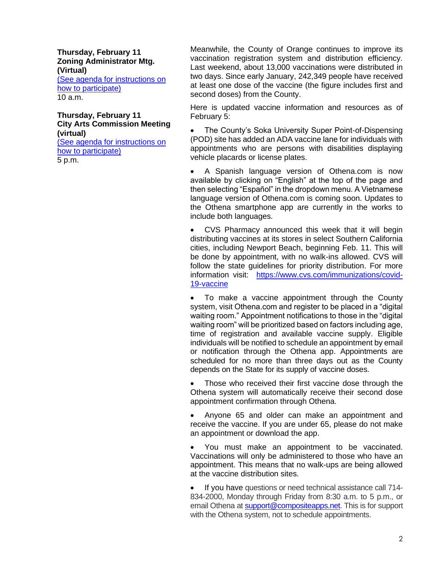**Thursday, February 11 Zoning Administrator Mtg. (Virtual)** [\(See agenda for instructions on](https://www.newportbeachca.gov/government/departments/community-development/planning-division/zoning-administrator)  [how to participate\)](https://www.newportbeachca.gov/government/departments/community-development/planning-division/zoning-administrator) 10 a.m.

# **Thursday, February 11 City Arts Commission Meeting (virtual)**

[\(See agenda for instructions on](https://newportbeachca.gov/Home/Components/Calendar/Event/65049/72)  [how to participate\)](https://newportbeachca.gov/Home/Components/Calendar/Event/65049/72) 5 p.m.

Meanwhile, the County of Orange continues to improve its vaccination registration system and distribution efficiency. Last weekend, about 13,000 vaccinations were distributed in two days. Since early January, 242,349 people have received at least one dose of the vaccine (the figure includes first and second doses) from the County.

Here is updated vaccine information and resources as of February 5:

The County's Soka University Super Point-of-Dispensing (POD) site has added an ADA vaccine lane for individuals with appointments who are persons with disabilities displaying vehicle placards or license plates.

• A Spanish language version of Othena.com is now available by clicking on "English" at the top of the page and then selecting "Español" in the dropdown menu. A Vietnamese language version of Othena.com is coming soon. Updates to the Othena smartphone app are currently in the works to include both languages.

• CVS Pharmacy announced this week that it will begin distributing vaccines at its stores in select Southern California cities, including Newport Beach, beginning Feb. 11. This will be done by appointment, with no walk-ins allowed. CVS will follow the state guidelines for priority distribution. For more information visit: [https://www.cvs.com/immunizations/covid-](https://www.cvs.com/immunizations/covid-19-vaccine)[19-vaccine](https://www.cvs.com/immunizations/covid-19-vaccine)

To make a vaccine appointment through the County system, visit Othena.com and register to be placed in a "digital waiting room." Appointment notifications to those in the "digital waiting room" will be prioritized based on factors including age, time of registration and available vaccine supply. Eligible individuals will be notified to schedule an appointment by email or notification through the Othena app. Appointments are scheduled for no more than three days out as the County depends on the State for its supply of vaccine doses.

Those who received their first vaccine dose through the Othena system will automatically receive their second dose appointment confirmation through Othena.

• Anyone 65 and older can make an appointment and receive the vaccine. If you are under 65, please do not make an appointment or download the app.

• You must make an appointment to be vaccinated. Vaccinations will only be administered to those who have an appointment. This means that no walk-ups are being allowed at the vaccine distribution sites.

• If you have questions or need technical assistance call 714- 834-2000, Monday through Friday from 8:30 a.m. to 5 p.m., or email Othena at **support@compositeapps.net**. This is for support with the Othena system, not to schedule appointments.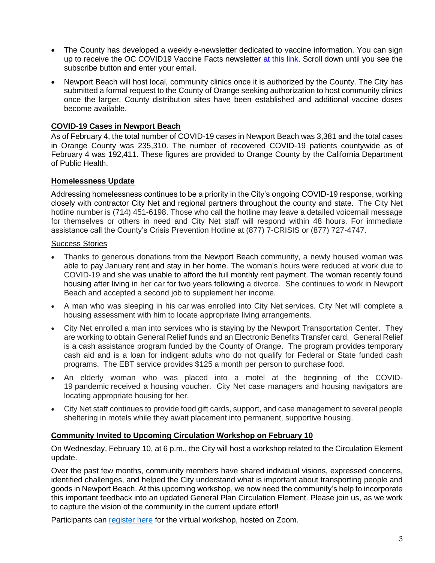- The County has developed a weekly e-newsletter dedicated to vaccine information. You can sign up to receive the OC COVID19 Vaccine Facts newsletter [at this link.](https://occovid19.ochealthinfo.com/covid-19-vaccine-resources) Scroll down until you see the subscribe button and enter your email.
- Newport Beach will host local, community clinics once it is authorized by the County. The City has submitted a formal request to the County of Orange seeking authorization to host community clinics once the larger, County distribution sites have been established and additional vaccine doses become available.

# **COVID-19 Cases in Newport Beach**

As of February 4, the total number of COVID-19 cases in Newport Beach was 3,381 and the total cases in Orange County was 235,310. The number of recovered COVID-19 patients countywide as of February 4 was 192,411. These figures are provided to Orange County by the California Department of Public Health.

# **Homelessness Update**

Addressing homelessness continues to be a priority in the City's ongoing COVID-19 response, working closely with contractor City Net and regional partners throughout the county and state. The City Net hotline number is (714) 451-6198. Those who call the hotline may leave a detailed voicemail message for themselves or others in need and City Net staff will respond within 48 hours. For immediate assistance call the County's Crisis Prevention Hotline at (877) 7-CRISIS or (877) 727-4747.

#### Success Stories

- Thanks to generous donations from the Newport Beach community, a newly housed woman was able to pay January rent and stay in her home. The woman's hours were reduced at work due to COVID-19 and she was unable to afford the full monthly rent payment. The woman recently found housing after living in her car for two years following a divorce. She continues to work in Newport Beach and accepted a second job to supplement her income.
- A man who was sleeping in his car was enrolled into City Net services. City Net will complete a housing assessment with him to locate appropriate living arrangements.
- City Net enrolled a man into services who is staying by the Newport Transportation Center. They are working to obtain General Relief funds and an Electronic Benefits Transfer card. General Relief is a cash assistance program funded by the County of Orange. The program provides temporary cash aid and is a loan for indigent adults who do not qualify for Federal or State funded cash programs. The EBT service provides \$125 a month per person to purchase food.
- An elderly woman who was placed into a motel at the beginning of the COVID-19 pandemic received a housing voucher. City Net case managers and housing navigators are locating appropriate housing for her.
- City Net staff continues to provide food gift cards, support, and case management to several people sheltering in motels while they await placement into permanent, supportive housing.

# **Community Invited to Upcoming Circulation Workshop on February 10**

On Wednesday, February 10, at 6 p.m., the City will host a workshop related to the Circulation Element update.

Over the past few months, community members have shared individual visions, expressed concerns, identified challenges, and helped the City understand what is important about transporting people and goods in Newport Beach. At this upcoming workshop, we now need the community's help to incorporate this important feedback into an updated General Plan Circulation Element. Please join us, as we work to capture the vision of the community in the current update effort!

Participants can [register here](https://zoom.us/meeting/register/tJckfu2tqDguHde7wek4KAEu-Xu3-QDlON1a) for the virtual workshop, hosted on Zoom.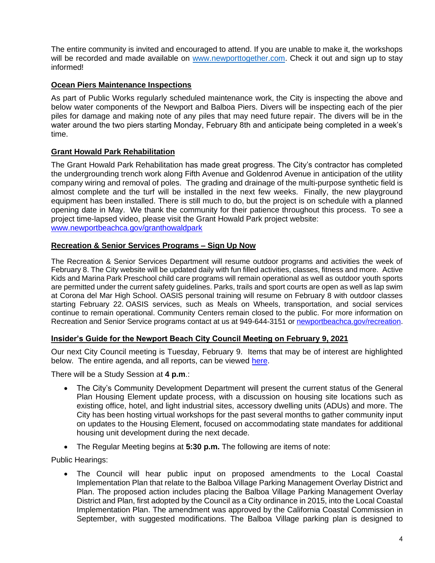The entire community is invited and encouraged to attend. If you are unable to make it, the workshops will be recorded and made available on [www.newporttogether.com.](http://www.newporttogether.com/) Check it out and sign up to stay informed!

# **Ocean Piers Maintenance Inspections**

As part of Public Works regularly scheduled maintenance work, the City is inspecting the above and below water components of the Newport and Balboa Piers. Divers will be inspecting each of the pier piles for damage and making note of any piles that may need future repair. The divers will be in the water around the two piers starting Monday, February 8th and anticipate being completed in a week's time.

# **Grant Howald Park Rehabilitation**

The Grant Howald Park Rehabilitation has made great progress. The City's contractor has completed the undergrounding trench work along Fifth Avenue and Goldenrod Avenue in anticipation of the utility company wiring and removal of poles. The grading and drainage of the multi-purpose synthetic field is almost complete and the turf will be installed in the next few weeks. Finally, the new playground equipment has been installed. There is still much to do, but the project is on schedule with a planned opening date in May. We thank the community for their patience throughout this process. To see a project time-lapsed video, please visit the Grant Howald Park project website: [www.newportbeachca.gov/granthowaldpark](http://www.newportbeachca.gov/granthowaldpark) 

# **Recreation & Senior Services Programs – Sign Up Now**

The Recreation & Senior Services Department will resume outdoor programs and activities the week of February 8. The City website will be updated daily with fun filled activities, classes, fitness and more. Active Kids and Marina Park Preschool child care programs will remain operational as well as outdoor youth sports are permitted under the current safety guidelines. Parks, trails and sport courts are open as well as lap swim at Corona del Mar High School. OASIS personal training will resume on February 8 with outdoor classes starting February 22. OASIS services, such as Meals on Wheels, transportation, and social services continue to remain operational. Community Centers remain closed to the public. For more information on Recreation and Senior Service programs contact at us at 949-644-3151 o[r newportbeachca.gov/recreation.](file:///C:/Users/John%20Pope/AppData/Local/Temp/newportbeachca.gov/recreation)

# <span id="page-3-0"></span>**Insider's Guide for the Newport Beach City Council Meeting on February 9, 2021**

Our next City Council meeting is Tuesday, February 9. Items that may be of interest are highlighted below. The entire agenda, and all reports, can be viewed [here.](https://www.newportbeachca.gov/Home/Components/Calendar/Event/64232/72)

There will be a Study Session at **4 p.m**.:

- The City's Community Development Department will present the current status of the General Plan Housing Element update process, with a discussion on housing site locations such as existing office, hotel, and light industrial sites, accessory dwelling units (ADUs) and more. The City has been hosting virtual workshops for the past several months to gather community input on updates to the Housing Element, focused on accommodating state mandates for additional housing unit development during the next decade.
- The Regular Meeting begins at **5:30 p.m.** The following are items of note:

Public Hearings:

• The Council will hear public input on proposed amendments to the Local Coastal Implementation Plan that relate to the Balboa Village Parking Management Overlay District and Plan. The proposed action includes placing the Balboa Village Parking Management Overlay District and Plan, first adopted by the Council as a City ordinance in 2015, into the Local Coastal Implementation Plan. The amendment was approved by the California Coastal Commission in September, with suggested modifications. The Balboa Village parking plan is designed to